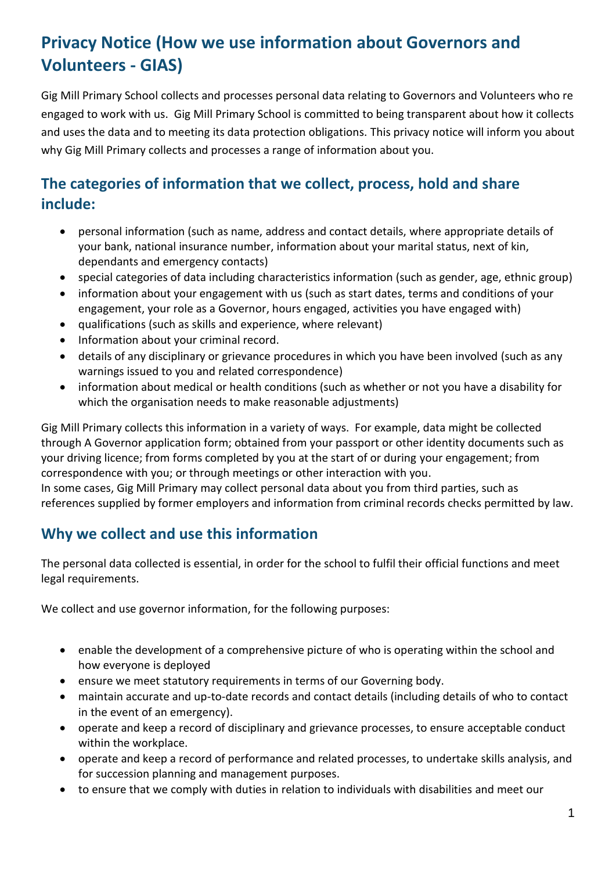# **Privacy Notice (How we use information about Governors and Volunteers - GIAS)**

Gig Mill Primary School collects and processes personal data relating to Governors and Volunteers who re engaged to work with us. Gig Mill Primary School is committed to being transparent about how it collects and uses the data and to meeting its data protection obligations. This privacy notice will inform you about why Gig Mill Primary collects and processes a range of information about you.

# **The categories of information that we collect, process, hold and share include:**

- personal information (such as name, address and contact details, where appropriate details of your bank, national insurance number, information about your marital status, next of kin, dependants and emergency contacts)
- special categories of data including characteristics information (such as gender, age, ethnic group)
- information about your engagement with us (such as start dates, terms and conditions of your engagement, your role as a Governor, hours engaged, activities you have engaged with)
- qualifications (such as skills and experience, where relevant)
- Information about your criminal record.
- details of any disciplinary or grievance procedures in which you have been involved (such as any warnings issued to you and related correspondence)
- information about medical or health conditions (such as whether or not you have a disability for which the organisation needs to make reasonable adjustments)

Gig Mill Primary collects this information in a variety of ways. For example, data might be collected through A Governor application form; obtained from your passport or other identity documents such as your driving licence; from forms completed by you at the start of or during your engagement; from correspondence with you; or through meetings or other interaction with you.

In some cases, Gig Mill Primary may collect personal data about you from third parties, such as references supplied by former employers and information from criminal records checks permitted by law.

### **Why we collect and use this information**

The personal data collected is essential, in order for the school to fulfil their official functions and meet legal requirements.

We collect and use governor information, for the following purposes:

- enable the development of a comprehensive picture of who is operating within the school and how everyone is deployed
- ensure we meet statutory requirements in terms of our Governing body.
- maintain accurate and up-to-date records and contact details (including details of who to contact in the event of an emergency).
- operate and keep a record of disciplinary and grievance processes, to ensure acceptable conduct within the workplace.
- operate and keep a record of performance and related processes, to undertake skills analysis, and for succession planning and management purposes.
- to ensure that we comply with duties in relation to individuals with disabilities and meet our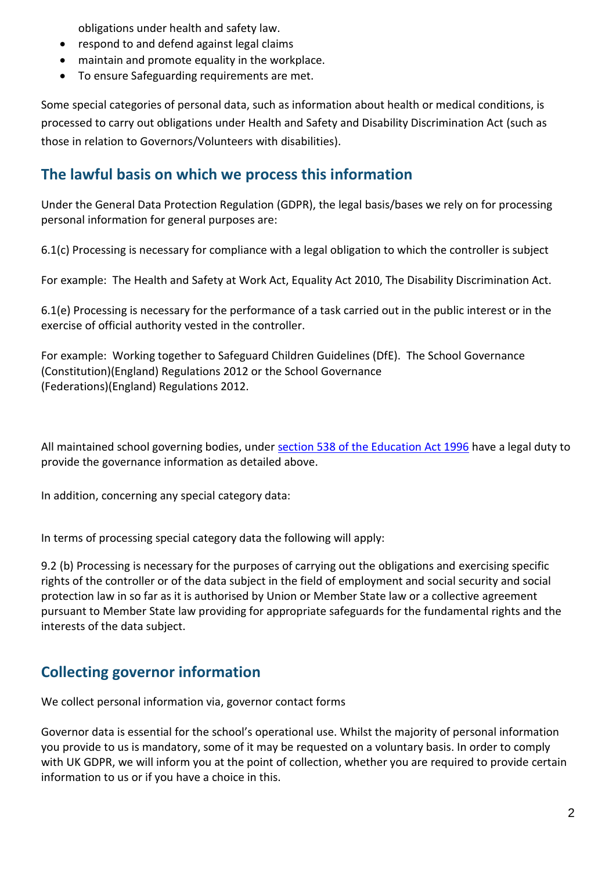obligations under health and safety law.

- respond to and defend against legal claims
- maintain and promote equality in the workplace.
- To ensure Safeguarding requirements are met.

Some special categories of personal data, such as information about health or medical conditions, is processed to carry out obligations under Health and Safety and Disability Discrimination Act (such as those in relation to Governors/Volunteers with disabilities).

#### **The lawful basis on which we process this information**

Under the General Data Protection Regulation (GDPR), the legal basis/bases we rely on for processing personal information for general purposes are:

6.1(c) Processing is necessary for compliance with a legal obligation to which the controller is subject

For example: The Health and Safety at Work Act, Equality Act 2010, The Disability Discrimination Act.

6.1(e) Processing is necessary for the performance of a task carried out in the public interest or in the exercise of official authority vested in the controller.

For example: Working together to Safeguard Children Guidelines (DfE). The School Governance (Constitution)(England) Regulations 2012 or the School Governance (Federations)(England) Regulations 2012.

All maintained school governing bodies, under [section 538 of the Education Act 1996](http://www.legislation.gov.uk/ukpga/1996/56/section/538) have a legal duty to provide the governance information as detailed above.

In addition, concerning any special category data:

In terms of processing special category data the following will apply:

9.2 (b) Processing is necessary for the purposes of carrying out the obligations and exercising specific rights of the controller or of the data subject in the field of employment and social security and social protection law in so far as it is authorised by Union or Member State law or a collective agreement pursuant to Member State law providing for appropriate safeguards for the fundamental rights and the interests of the data subject.

### **Collecting governor information**

We collect personal information via, governor contact forms

Governor data is essential for the school's operational use. Whilst the majority of personal information you provide to us is mandatory, some of it may be requested on a voluntary basis. In order to comply with UK GDPR, we will inform you at the point of collection, whether you are required to provide certain information to us or if you have a choice in this.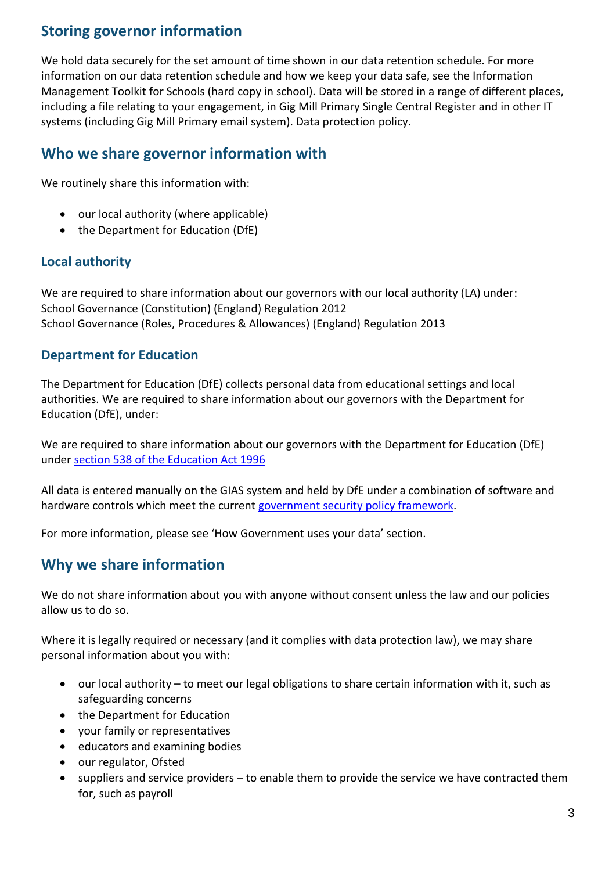### **Storing governor information**

We hold data securely for the set amount of time shown in our data retention schedule. For more information on our data retention schedule and how we keep your data safe, see the Information Management Toolkit for Schools (hard copy in school). Data will be stored in a range of different places, including a file relating to your engagement, in Gig Mill Primary Single Central Register and in other IT systems (including Gig Mill Primary email system). Data protection policy.

#### **Who we share governor information with**

We routinely share this information with:

- our local authority (where applicable)
- the Department for Education (DfE)

#### **Local authority**

We are required to share information about our governors with our local authority (LA) under: School Governance (Constitution) (England) Regulation 2012 School Governance (Roles, Procedures & Allowances) (England) Regulation 2013

#### **Department for Education**

The Department for Education (DfE) collects personal data from educational settings and local authorities. We are required to share information about our governors with the Department for Education (DfE), under:

We are required to share information about our governors with the Department for Education (DfE) under [section 538 of the Education Act 1996](http://www.legislation.gov.uk/ukpga/1996/56/section/538)

All data is entered manually on the GIAS system and held by DfE under a combination of software and hardware controls which meet the current [government security policy framework.](https://www.gov.uk/government/publications/security-policy-framework)

For more information, please see 'How Government uses your data' section.

#### **Why we share information**

We do not share information about you with anyone without consent unless the law and our policies allow us to do so.

Where it is legally required or necessary (and it complies with data protection law), we may share personal information about you with:

- our local authority to meet our legal obligations to share certain information with it, such as safeguarding concerns
- the Department for Education
- your family or representatives
- educators and examining bodies
- our regulator, Ofsted
- suppliers and service providers to enable them to provide the service we have contracted them for, such as payroll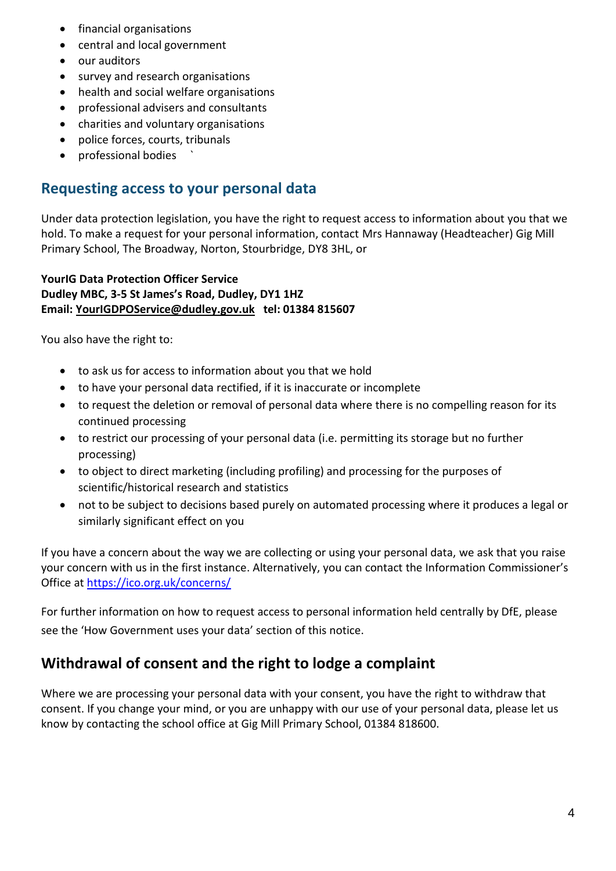- financial organisations
- central and local government
- our auditors
- survey and research organisations
- health and social welfare organisations
- professional advisers and consultants
- charities and voluntary organisations
- police forces, courts, tribunals
- professional bodies `

#### **Requesting access to your personal data**

Under data protection legislation, you have the right to request access to information about you that we hold. To make a request for your personal information, contact Mrs Hannaway (Headteacher) Gig Mill Primary School, The Broadway, Norton, Stourbridge, DY8 3HL, or

#### **YourIG Data Protection Officer Service Dudley MBC, 3-5 St James's Road, Dudley, DY1 1HZ Email: [YourIGDPOService@dudley.gov.uk](mailto:YourIGDPOService@dudley.gov.uk) tel: 01384 815607**

You also have the right to:

- to ask us for access to information about you that we hold
- to have your personal data rectified, if it is inaccurate or incomplete
- to request the deletion or removal of personal data where there is no compelling reason for its continued processing
- to restrict our processing of your personal data (i.e. permitting its storage but no further processing)
- to object to direct marketing (including profiling) and processing for the purposes of scientific/historical research and statistics
- not to be subject to decisions based purely on automated processing where it produces a legal or similarly significant effect on you

If you have a concern about the way we are collecting or using your personal data, we ask that you raise your concern with us in the first instance. Alternatively, you can contact the Information Commissioner's Office at<https://ico.org.uk/concerns/>

For further information on how to request access to personal information held centrally by DfE, please see the 'How Government uses your data' section of this notice.

### **Withdrawal of consent and the right to lodge a complaint**

Where we are processing your personal data with your consent, you have the right to withdraw that consent. If you change your mind, or you are unhappy with our use of your personal data, please let us know by contacting the school office at Gig Mill Primary School, 01384 818600.